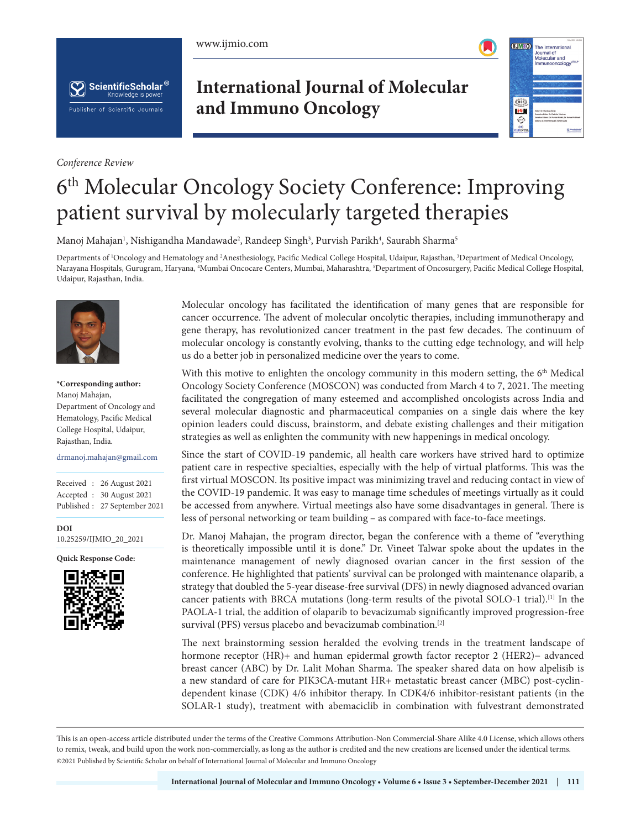





*Conference Review*

# **International Journal of Molecular and Immuno Oncology**



# 6th Molecular Oncology Society Conference: Improving patient survival by molecularly targeted therapies

Manoj Mahajan<sup>1</sup>, Nishigandha Mandawade<sup>2</sup>, Randeep Singh<sup>3</sup>, Purvish Parikh<sup>4</sup>, Saurabh Sharma<sup>5</sup>

Departments of <sup>1</sup>Oncology and Hematology and <sup>2</sup>Anesthesiology, Pacific Medical College Hospital, Udaipur, Rajasthan, <sup>3</sup>Department of Medical Oncology, Narayana Hospitals, Gurugram, Haryana, <sup>4</sup>Mumbai Oncocare Centers, Mumbai, Maharashtra, <sup>5</sup>Department of Oncosurgery, Pacific Medical College Hospital, Udaipur, Rajasthan, India.



**\*Corresponding author:** Manoj Mahajan, Department of Oncology and Hematology, Pacific Medical College Hospital, Udaipur, Rajasthan, India.

drmanoj.mahajan@gmail.com

Received : 26 August 2021 Accepted : 30 August 2021 Published : 27 September 2021

**DOI** [10.25259/IJMIO\\_20\\_2021](https://dx.doi.org/10.25259/IJMIO_20_2021)

**Quick Response Code:**



Molecular oncology has facilitated the identification of many genes that are responsible for cancer occurrence. The advent of molecular oncolytic therapies, including immunotherapy and gene therapy, has revolutionized cancer treatment in the past few decades. The continuum of molecular oncology is constantly evolving, thanks to the cutting edge technology, and will help us do a better job in personalized medicine over the years to come.

With this motive to enlighten the oncology community in this modern setting, the  $6<sup>th</sup>$  Medical Oncology Society Conference (MOSCON) was conducted from March 4 to 7, 2021. The meeting facilitated the congregation of many esteemed and accomplished oncologists across India and several molecular diagnostic and pharmaceutical companies on a single dais where the key opinion leaders could discuss, brainstorm, and debate existing challenges and their mitigation strategies as well as enlighten the community with new happenings in medical oncology.

Since the start of COVID-19 pandemic, all health care workers have strived hard to optimize patient care in respective specialties, especially with the help of virtual platforms. This was the first virtual MOSCON. Its positive impact was minimizing travel and reducing contact in view of the COVID-19 pandemic. It was easy to manage time schedules of meetings virtually as it could be accessed from anywhere. Virtual meetings also have some disadvantages in general. There is less of personal networking or team building – as compared with face-to-face meetings.

Dr. Manoj Mahajan, the program director, began the conference with a theme of "everything is theoretically impossible until it is done." Dr. Vineet Talwar spoke about the updates in the maintenance management of newly diagnosed ovarian cancer in the first session of the conference. He highlighted that patients' survival can be prolonged with maintenance olaparib, a strategy that doubled the 5-year disease-free survival (DFS) in newly diagnosed advanced ovarian cancer patients with BRCA mutations (long-term results of the pivotal SOLO-1 trial).<sup>[1]</sup> In the PAOLA-1 trial, the addition of olaparib to bevacizumab significantly improved progression-free survival (PFS) versus placebo and bevacizumab combination.<sup>[2]</sup>

The next brainstorming session heralded the evolving trends in the treatment landscape of hormone receptor (HR)+ and human epidermal growth factor receptor 2 (HER2)− advanced breast cancer (ABC) by Dr. Lalit Mohan Sharma. The speaker shared data on how alpelisib is a new standard of care for PIK3CA-mutant HR+ metastatic breast cancer (MBC) post-cyclindependent kinase (CDK) 4/6 inhibitor therapy. In CDK4/6 inhibitor-resistant patients (in the SOLAR-1 study), treatment with abemaciclib in combination with fulvestrant demonstrated

This is an open-access article distributed under the terms of the Creative Commons Attribution-Non Commercial-Share Alike 4.0 License, which allows others to remix, tweak, and build upon the work non-commercially, as long as the author is credited and the new creations are licensed under the identical terms. ©2021 Published by Scientific Scholar on behalf of International Journal of Molecular and Immuno Oncology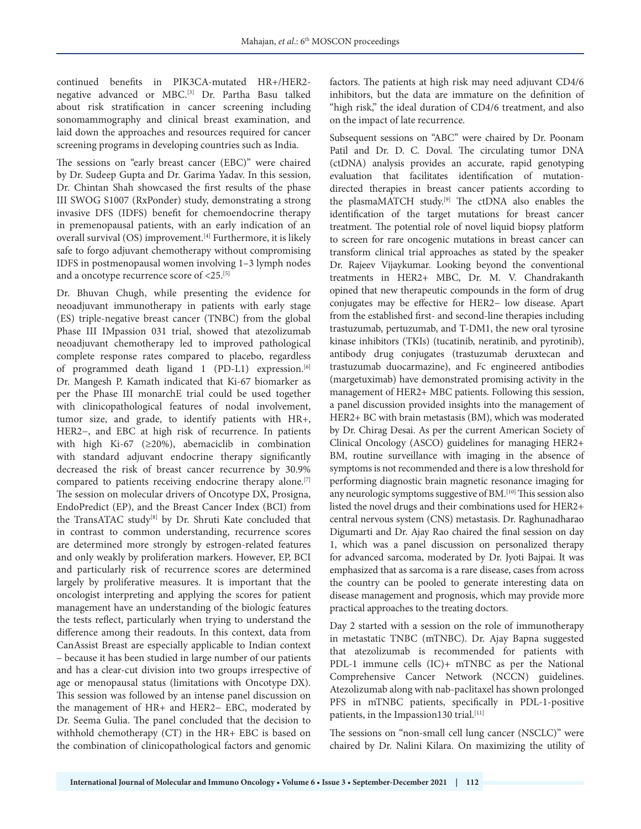continued benefits in PIK3CA-mutated HR+/HER2 negative advanced or MBC.[3] Dr. Partha Basu talked about risk stratification in cancer screening including sonomammography and clinical breast examination, and laid down the approaches and resources required for cancer screening programs in developing countries such as India.

The sessions on "early breast cancer (EBC)" were chaired by Dr. Sudeep Gupta and Dr. Garima Yadav. In this session, Dr. Chintan Shah showcased the first results of the phase III SWOG S1007 (RxPonder) study, demonstrating a strong invasive DFS (IDFS) benefit for chemoendocrine therapy in premenopausal patients, with an early indication of an overall survival (OS) improvement.[4] Furthermore, it is likely safe to forgo adjuvant chemotherapy without compromising IDFS in postmenopausal women involving 1–3 lymph nodes and a oncotype recurrence score of <25.<sup>[5]</sup>

Dr. Bhuvan Chugh, while presenting the evidence for neoadjuvant immunotherapy in patients with early stage (ES) triple-negative breast cancer (TNBC) from the global Phase III IMpassion 031 trial, showed that atezolizumab neoadjuvant chemotherapy led to improved pathological complete response rates compared to placebo, regardless of programmed death ligand 1 (PD-L1) expression.<sup>[6]</sup> Dr. Mangesh P. Kamath indicated that Ki-67 biomarker as per the Phase III monarchE trial could be used together with clinicopathological features of nodal involvement, tumor size, and grade, to identify patients with HR+, HER2−, and EBC at high risk of recurrence. In patients with high Ki-67 (≥20%), abemaciclib in combination with standard adjuvant endocrine therapy significantly decreased the risk of breast cancer recurrence by 30.9% compared to patients receiving endocrine therapy alone.[7] The session on molecular drivers of Oncotype DX, Prosigna, EndoPredict (EP), and the Breast Cancer Index (BCI) from the TransATAC study<sup>[8]</sup> by Dr. Shruti Kate concluded that in contrast to common understanding, recurrence scores are determined more strongly by estrogen-related features and only weakly by proliferation markers. However, EP, BCI and particularly risk of recurrence scores are determined largely by proliferative measures. It is important that the oncologist interpreting and applying the scores for patient management have an understanding of the biologic features the tests reflect, particularly when trying to understand the difference among their readouts. In this context, data from CanAssist Breast are especially applicable to Indian context – because it has been studied in large number of our patients and has a clear-cut division into two groups irrespective of age or menopausal status (limitations with Oncotype DX). This session was followed by an intense panel discussion on the management of HR+ and HER2− EBC, moderated by Dr. Seema Gulia. The panel concluded that the decision to withhold chemotherapy (CT) in the HR+ EBC is based on the combination of clinicopathological factors and genomic

factors. The patients at high risk may need adjuvant CD4/6 inhibitors, but the data are immature on the definition of "high risk," the ideal duration of CD4/6 treatment, and also on the impact of late recurrence.

Subsequent sessions on "ABC" were chaired by Dr. Poonam Patil and Dr. D. C. Doval. The circulating tumor DNA (ctDNA) analysis provides an accurate, rapid genotyping evaluation that facilitates identification of mutationdirected therapies in breast cancer patients according to the plasmaMATCH study.[9] The ctDNA also enables the identification of the target mutations for breast cancer treatment. The potential role of novel liquid biopsy platform to screen for rare oncogenic mutations in breast cancer can transform clinical trial approaches as stated by the speaker Dr. Rajeev Vijaykumar. Looking beyond the conventional treatments in HER2+ MBC, Dr. M. V. Chandrakanth opined that new therapeutic compounds in the form of drug conjugates may be effective for HER2− low disease. Apart from the established first- and second-line therapies including trastuzumab, pertuzumab, and T-DM1, the new oral tyrosine kinase inhibitors (TKIs) (tucatinib, neratinib, and pyrotinib), antibody drug conjugates (trastuzumab deruxtecan and trastuzumab duocarmazine), and Fc engineered antibodies (margetuximab) have demonstrated promising activity in the management of HER2+ MBC patients. Following this session, a panel discussion provided insights into the management of HER2+ BC with brain metastasis (BM), which was moderated by Dr. Chirag Desai. As per the current American Society of Clinical Oncology (ASCO) guidelines for managing HER2+ BM, routine surveillance with imaging in the absence of symptoms is not recommended and there is a low threshold for performing diagnostic brain magnetic resonance imaging for any neurologic symptoms suggestive of BM.[10] This session also listed the novel drugs and their combinations used for HER2+ central nervous system (CNS) metastasis. Dr. Raghunadharao Digumarti and Dr. Ajay Rao chaired the final session on day 1, which was a panel discussion on personalized therapy for advanced sarcoma, moderated by Dr. Jyoti Bajpai. It was emphasized that as sarcoma is a rare disease, cases from across the country can be pooled to generate interesting data on disease management and prognosis, which may provide more practical approaches to the treating doctors.

Day 2 started with a session on the role of immunotherapy in metastatic TNBC (mTNBC). Dr. Ajay Bapna suggested that atezolizumab is recommended for patients with PDL-1 immune cells (IC)+ mTNBC as per the National Comprehensive Cancer Network (NCCN) guidelines. Atezolizumab along with nab-paclitaxel has shown prolonged PFS in mTNBC patients, specifically in PDL-1-positive patients, in the Impassion130 trial.<sup>[11]</sup>

The sessions on "non-small cell lung cancer (NSCLC)" were chaired by Dr. Nalini Kilara. On maximizing the utility of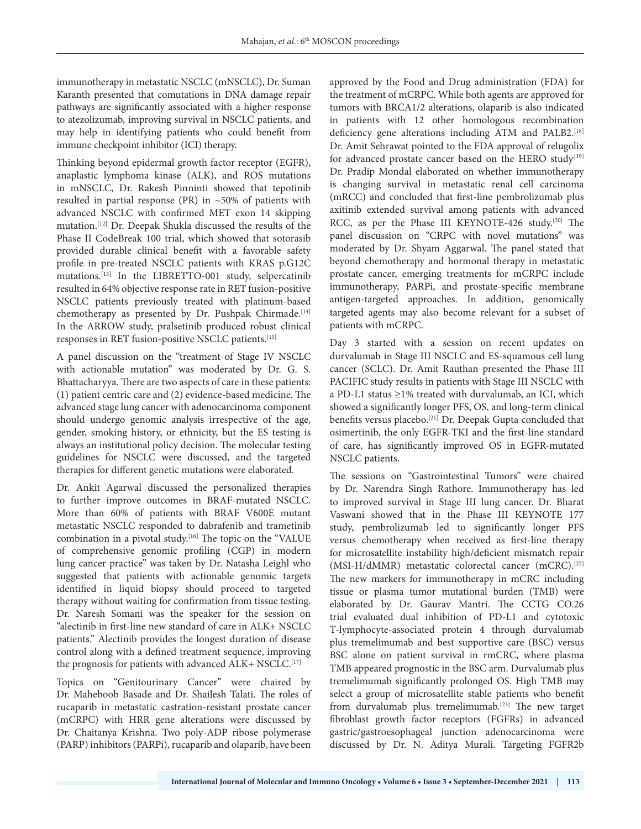immunotherapy in metastatic NSCLC (mNSCLC), Dr. Suman Karanth presented that comutations in DNA damage repair pathways are significantly associated with a higher response to atezolizumab, improving survival in NSCLC patients, and may help in identifying patients who could benefit from immune checkpoint inhibitor (ICI) therapy.

Thinking beyond epidermal growth factor receptor (EGFR), anaplastic lymphoma kinase (ALK), and ROS mutations in mNSCLC, Dr. Rakesh Pinninti showed that tepotinib resulted in partial response (PR) in ~50% of patients with advanced NSCLC with confirmed MET exon 14 skipping mutation.[12] Dr. Deepak Shukla discussed the results of the Phase II CodeBreak 100 trial, which showed that sotorasib provided durable clinical benefit with a favorable safety profile in pre-treated NSCLC patients with KRAS p.G12C mutations.[13] In the LIBRETTO-001 study, selpercatinib resulted in 64% objective response rate in RET fusion-positive NSCLC patients previously treated with platinum-based chemotherapy as presented by Dr. Pushpak Chirmade.<sup>[14]</sup> In the ARROW study, pralsetinib produced robust clinical responses in RET fusion-positive NSCLC patients.[15]

A panel discussion on the "treatment of Stage IV NSCLC with actionable mutation" was moderated by Dr. G. S. Bhattacharyya. There are two aspects of care in these patients: (1) patient centric care and (2) evidence-based medicine. The advanced stage lung cancer with adenocarcinoma component should undergo genomic analysis irrespective of the age, gender, smoking history, or ethnicity, but the ES testing is always an institutional policy decision. The molecular testing guidelines for NSCLC were discussed, and the targeted therapies for different genetic mutations were elaborated.

Dr. Ankit Agarwal discussed the personalized therapies to further improve outcomes in BRAF-mutated NSCLC. More than 60% of patients with BRAF V600E mutant metastatic NSCLC responded to dabrafenib and trametinib combination in a pivotal study.[16] The topic on the "VALUE of comprehensive genomic profiling (CGP) in modern lung cancer practice" was taken by Dr. Natasha Leighl who suggested that patients with actionable genomic targets identified in liquid biopsy should proceed to targeted therapy without waiting for confirmation from tissue testing. Dr. Naresh Somani was the speaker for the session on "alectinib in first-line new standard of care in ALK+ NSCLC patients." Alectinib provides the longest duration of disease control along with a defined treatment sequence, improving the prognosis for patients with advanced ALK+ NSCLC.<sup>[17]</sup>

Topics on "Genitourinary Cancer" were chaired by Dr. Maheboob Basade and Dr. Shailesh Talati. The roles of rucaparib in metastatic castration-resistant prostate cancer (mCRPC) with HRR gene alterations were discussed by Dr. Chaitanya Krishna. Two poly-ADP ribose polymerase (PARP) inhibitors (PARPi), rucaparib and olaparib, have been

approved by the Food and Drug administration (FDA) for the treatment of mCRPC. While both agents are approved for tumors with BRCA1/2 alterations, olaparib is also indicated in patients with 12 other homologous recombination deficiency gene alterations including ATM and PALB2.<sup>[18]</sup> Dr. Amit Sehrawat pointed to the FDA approval of relugolix for advanced prostate cancer based on the HERO study<sup>[19]</sup> Dr. Pradip Mondal elaborated on whether immunotherapy is changing survival in metastatic renal cell carcinoma (mRCC) and concluded that first-line pembrolizumab plus axitinib extended survival among patients with advanced RCC, as per the Phase III KEYNOTE-426 study.<sup>[20]</sup> The panel discussion on "CRPC with novel mutations" was moderated by Dr. Shyam Aggarwal. The panel stated that beyond chemotherapy and hormonal therapy in metastatic prostate cancer, emerging treatments for mCRPC include immunotherapy, PARPi, and prostate-specific membrane antigen-targeted approaches. In addition, genomically targeted agents may also become relevant for a subset of patients with mCRPC.

Day 3 started with a session on recent updates on durvalumab in Stage III NSCLC and ES-squamous cell lung cancer (SCLC). Dr. Amit Rauthan presented the Phase III PACIFIC study results in patients with Stage III NSCLC with a PD-L1 status ≥1% treated with durvalumab, an ICI, which showed a significantly longer PFS, OS, and long-term clinical benefits versus placebo.<sup>[21]</sup> Dr. Deepak Gupta concluded that osimertinib, the only EGFR-TKI and the first-line standard of care, has significantly improved OS in EGFR-mutated NSCLC patients.

The sessions on "Gastrointestinal Tumors" were chaired by Dr. Narendra Singh Rathore. Immunotherapy has led to improved survival in Stage III lung cancer. Dr. Bharat Vaswani showed that in the Phase III KEYNOTE 177 study, pembrolizumab led to significantly longer PFS versus chemotherapy when received as first-line therapy for microsatellite instability high/deficient mismatch repair (MSI-H/dMMR) metastatic colorectal cancer (mCRC).<sup>[22]</sup> The new markers for immunotherapy in mCRC including tissue or plasma tumor mutational burden (TMB) were elaborated by Dr. Gaurav Mantri. The CCTG CO.26 trial evaluated dual inhibition of PD-L1 and cytotoxic T-lymphocyte-associated protein 4 through durvalumab plus tremelimumab and best supportive care (BSC) versus BSC alone on patient survival in rmCRC, where plasma TMB appeared prognostic in the BSC arm. Durvalumab plus tremelimumab significantly prolonged OS. High TMB may select a group of microsatellite stable patients who benefit from durvalumab plus tremelimumab.[23] The new target fibroblast growth factor receptors (FGFRs) in advanced gastric/gastroesophageal junction adenocarcinoma were discussed by Dr. N. Aditya Murali. Targeting FGFR2b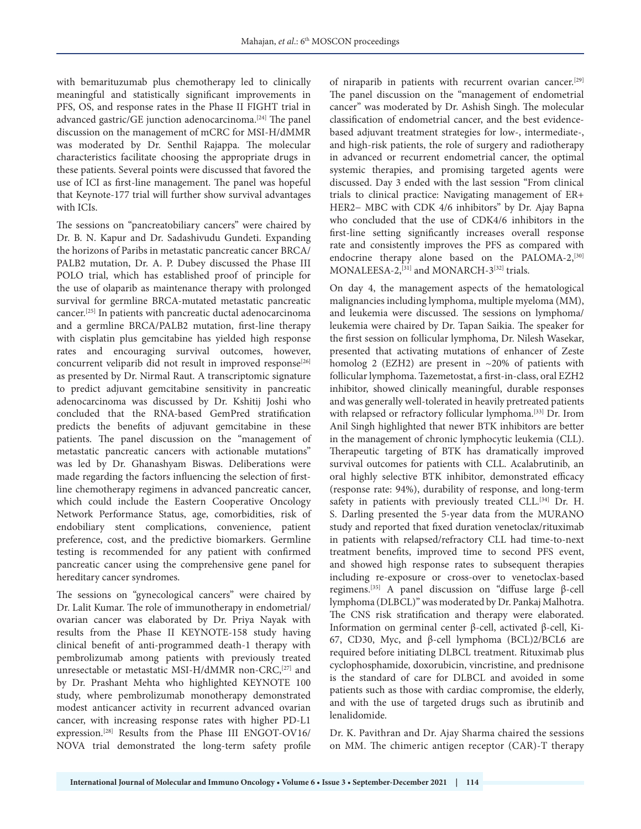with bemarituzumab plus chemotherapy led to clinically meaningful and statistically significant improvements in PFS, OS, and response rates in the Phase II FIGHT trial in advanced gastric/GE junction adenocarcinoma.<sup>[24]</sup> The panel discussion on the management of mCRC for MSI-H/dMMR was moderated by Dr. Senthil Rajappa. The molecular characteristics facilitate choosing the appropriate drugs in these patients. Several points were discussed that favored the use of ICI as first-line management. The panel was hopeful that Keynote-177 trial will further show survival advantages with ICIs.

The sessions on "pancreatobiliary cancers" were chaired by Dr. B. N. Kapur and Dr. Sadashivudu Gundeti. Expanding the horizons of Paribs in metastatic pancreatic cancer BRCA/ PALB2 mutation, Dr. A. P. Dubey discussed the Phase III POLO trial, which has established proof of principle for the use of olaparib as maintenance therapy with prolonged survival for germline BRCA-mutated metastatic pancreatic cancer.[25] In patients with pancreatic ductal adenocarcinoma and a germline BRCA/PALB2 mutation, first-line therapy with cisplatin plus gemcitabine has yielded high response rates and encouraging survival outcomes, however, concurrent veliparib did not result in improved response<sup>[26]</sup> as presented by Dr. Nirmal Raut. A transcriptomic signature to predict adjuvant gemcitabine sensitivity in pancreatic adenocarcinoma was discussed by Dr. Kshitij Joshi who concluded that the RNA-based GemPred stratification predicts the benefits of adjuvant gemcitabine in these patients. The panel discussion on the "management of metastatic pancreatic cancers with actionable mutations" was led by Dr. Ghanashyam Biswas. Deliberations were made regarding the factors influencing the selection of firstline chemotherapy regimens in advanced pancreatic cancer, which could include the Eastern Cooperative Oncology Network Performance Status, age, comorbidities, risk of endobiliary stent complications, convenience, patient preference, cost, and the predictive biomarkers. Germline testing is recommended for any patient with confirmed pancreatic cancer using the comprehensive gene panel for hereditary cancer syndromes.

The sessions on "gynecological cancers" were chaired by Dr. Lalit Kumar. The role of immunotherapy in endometrial/ ovarian cancer was elaborated by Dr. Priya Nayak with results from the Phase II KEYNOTE-158 study having clinical benefit of anti-programmed death-1 therapy with pembrolizumab among patients with previously treated unresectable or metastatic MSI-H/dMMR non-CRC,<sup>[27]</sup> and by Dr. Prashant Mehta who highlighted KEYNOTE 100 study, where pembrolizumab monotherapy demonstrated modest anticancer activity in recurrent advanced ovarian cancer, with increasing response rates with higher PD-L1 expression.[28] Results from the Phase III ENGOT-OV16/ NOVA trial demonstrated the long-term safety profile

of niraparib in patients with recurrent ovarian cancer.[29] The panel discussion on the "management of endometrial cancer" was moderated by Dr. Ashish Singh. The molecular classification of endometrial cancer, and the best evidencebased adjuvant treatment strategies for low-, intermediate-, and high-risk patients, the role of surgery and radiotherapy in advanced or recurrent endometrial cancer, the optimal systemic therapies, and promising targeted agents were discussed. Day 3 ended with the last session "From clinical trials to clinical practice: Navigating management of ER+ HER2− MBC with CDK 4/6 inhibitors" by Dr. Ajay Bapna who concluded that the use of CDK4/6 inhibitors in the first-line setting significantly increases overall response rate and consistently improves the PFS as compared with endocrine therapy alone based on the PALOMA-2,<sup>[30]</sup> MONALEESA-2,<sup>[31]</sup> and MONARCH-3<sup>[32]</sup> trials.

On day 4, the management aspects of the hematological malignancies including lymphoma, multiple myeloma (MM), and leukemia were discussed. The sessions on lymphoma/ leukemia were chaired by Dr. Tapan Saikia. The speaker for the first session on follicular lymphoma, Dr. Nilesh Wasekar, presented that activating mutations of enhancer of Zeste homolog 2 (EZH2) are present in ~20% of patients with follicular lymphoma. Tazemetostat, a first-in-class, oral EZH2 inhibitor, showed clinically meaningful, durable responses and was generally well-tolerated in heavily pretreated patients with relapsed or refractory follicular lymphoma.[33] Dr. Irom Anil Singh highlighted that newer BTK inhibitors are better in the management of chronic lymphocytic leukemia (CLL). Therapeutic targeting of BTK has dramatically improved survival outcomes for patients with CLL. Acalabrutinib, an oral highly selective BTK inhibitor, demonstrated efficacy (response rate: 94%), durability of response, and long-term safety in patients with previously treated CLL.<sup>[34]</sup> Dr. H. S. Darling presented the 5-year data from the MURANO study and reported that fixed duration venetoclax/rituximab in patients with relapsed/refractory CLL had time-to-next treatment benefits, improved time to second PFS event, and showed high response rates to subsequent therapies including re-exposure or cross-over to venetoclax-based regimens.[35] A panel discussion on "diffuse large β-cell lymphoma (DLBCL)" was moderated by Dr. Pankaj Malhotra. The CNS risk stratification and therapy were elaborated. Information on germinal center β-cell, activated β-cell, Ki-67, CD30, Myc, and β-cell lymphoma (BCL)2/BCL6 are required before initiating DLBCL treatment. Rituximab plus cyclophosphamide, doxorubicin, vincristine, and prednisone is the standard of care for DLBCL and avoided in some patients such as those with cardiac compromise, the elderly, and with the use of targeted drugs such as ibrutinib and lenalidomide.

Dr. K. Pavithran and Dr. Ajay Sharma chaired the sessions on MM. The chimeric antigen receptor (CAR)-T therapy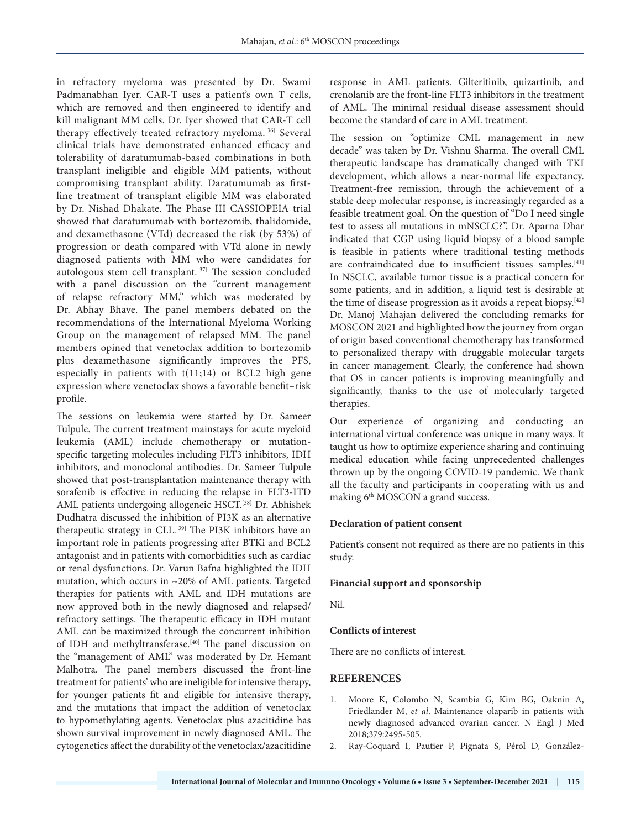in refractory myeloma was presented by Dr. Swami Padmanabhan Iyer. CAR-T uses a patient's own T cells, which are removed and then engineered to identify and kill malignant MM cells. Dr. Iyer showed that CAR-T cell therapy effectively treated refractory myeloma.<sup>[36]</sup> Several clinical trials have demonstrated enhanced efficacy and tolerability of daratumumab-based combinations in both transplant ineligible and eligible MM patients, without compromising transplant ability. Daratumumab as firstline treatment of transplant eligible MM was elaborated by Dr. Nishad Dhakate. The Phase III CASSIOPEIA trial showed that daratumumab with bortezomib, thalidomide, and dexamethasone (VTd) decreased the risk (by 53%) of progression or death compared with VTd alone in newly diagnosed patients with MM who were candidates for autologous stem cell transplant.[37] The session concluded with a panel discussion on the "current management of relapse refractory MM," which was moderated by Dr. Abhay Bhave. The panel members debated on the recommendations of the International Myeloma Working Group on the management of relapsed MM. The panel members opined that venetoclax addition to bortezomib plus dexamethasone significantly improves the PFS, especially in patients with t(11;14) or BCL2 high gene expression where venetoclax shows a favorable benefit–risk profile.

The sessions on leukemia were started by Dr. Sameer Tulpule. The current treatment mainstays for acute myeloid leukemia (AML) include chemotherapy or mutationspecific targeting molecules including FLT3 inhibitors, IDH inhibitors, and monoclonal antibodies. Dr. Sameer Tulpule showed that post-transplantation maintenance therapy with sorafenib is effective in reducing the relapse in FLT3-ITD AML patients undergoing allogeneic HSCT.[38] Dr. Abhishek Dudhatra discussed the inhibition of PI3K as an alternative therapeutic strategy in CLL.<sup>[39]</sup> The PI3K inhibitors have an important role in patients progressing after BTKi and BCL2 antagonist and in patients with comorbidities such as cardiac or renal dysfunctions. Dr. Varun Bafna highlighted the IDH mutation, which occurs in ~20% of AML patients. Targeted therapies for patients with AML and IDH mutations are now approved both in the newly diagnosed and relapsed/ refractory settings. The therapeutic efficacy in IDH mutant AML can be maximized through the concurrent inhibition of IDH and methyltransferase.<sup>[40]</sup> The panel discussion on the "management of AML" was moderated by Dr. Hemant Malhotra. The panel members discussed the front-line treatment for patients' who are ineligible for intensive therapy, for younger patients fit and eligible for intensive therapy, and the mutations that impact the addition of venetoclax to hypomethylating agents. Venetoclax plus azacitidine has shown survival improvement in newly diagnosed AML. The cytogenetics affect the durability of the venetoclax/azacitidine

response in AML patients. Gilteritinib, quizartinib, and crenolanib are the front-line FLT3 inhibitors in the treatment of AML. The minimal residual disease assessment should become the standard of care in AML treatment.

The session on "optimize CML management in new decade" was taken by Dr. Vishnu Sharma. The overall CML therapeutic landscape has dramatically changed with TKI development, which allows a near-normal life expectancy. Treatment-free remission, through the achievement of a stable deep molecular response, is increasingly regarded as a feasible treatment goal. On the question of "Do I need single test to assess all mutations in mNSCLC?", Dr. Aparna Dhar indicated that CGP using liquid biopsy of a blood sample is feasible in patients where traditional testing methods are contraindicated due to insufficient tissues samples.<sup>[41]</sup> In NSCLC, available tumor tissue is a practical concern for some patients, and in addition, a liquid test is desirable at the time of disease progression as it avoids a repeat biopsy.<sup>[42]</sup> Dr. Manoj Mahajan delivered the concluding remarks for MOSCON 2021 and highlighted how the journey from organ of origin based conventional chemotherapy has transformed to personalized therapy with druggable molecular targets in cancer management. Clearly, the conference had shown that OS in cancer patients is improving meaningfully and significantly, thanks to the use of molecularly targeted therapies.

Our experience of organizing and conducting an international virtual conference was unique in many ways. It taught us how to optimize experience sharing and continuing medical education while facing unprecedented challenges thrown up by the ongoing COVID-19 pandemic. We thank all the faculty and participants in cooperating with us and making 6<sup>th</sup> MOSCON a grand success.

## **Declaration of patient consent**

Patient's consent not required as there are no patients in this study.

#### **Financial support and sponsorship**

Nil.

#### **Conflicts of interest**

There are no conflicts of interest.

## **REFERENCES**

- 1. Moore K, Colombo N, Scambia G, Kim BG, Oaknin A, Friedlander M, *et al*. Maintenance olaparib in patients with newly diagnosed advanced ovarian cancer. N Engl J Med 2018;379:2495-505.
- 2. Ray-Coquard I, Pautier P, Pignata S, Pérol D, González-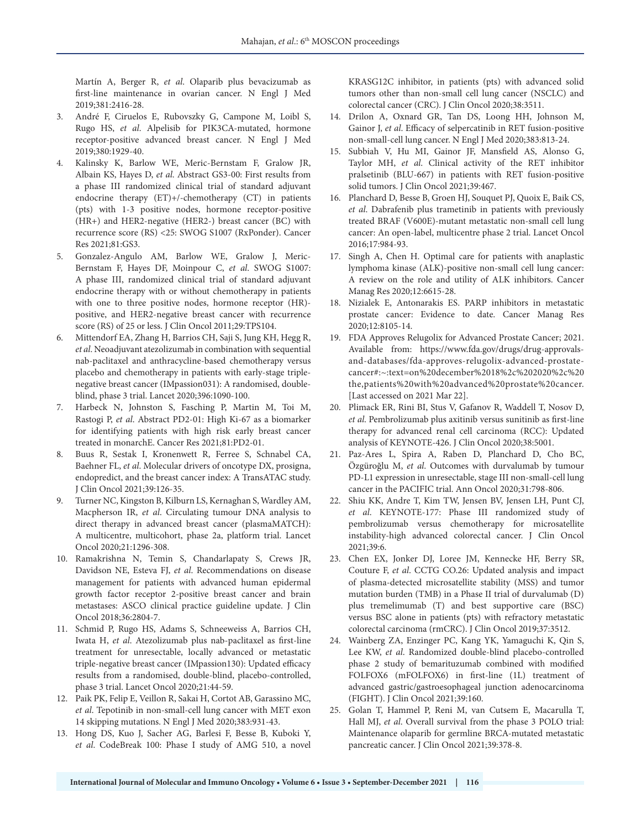Martín A, Berger R, *et al*. Olaparib plus bevacizumab as first-line maintenance in ovarian cancer. N Engl J Med 2019;381:2416-28.

- 3. André F, Ciruelos E, Rubovszky G, Campone M, Loibl S, Rugo HS, *et al*. Alpelisib for PIK3CA-mutated, hormone receptor-positive advanced breast cancer. N Engl J Med 2019;380:1929-40.
- 4. Kalinsky K, Barlow WE, Meric-Bernstam F, Gralow JR, Albain KS, Hayes D, *et al*. Abstract GS3-00: First results from a phase III randomized clinical trial of standard adjuvant endocrine therapy (ET)+/-chemotherapy (CT) in patients (pts) with 1-3 positive nodes, hormone receptor-positive (HR+) and HER2-negative (HER2-) breast cancer (BC) with recurrence score (RS) <25: SWOG S1007 (RxPonder). Cancer Res 2021;81:GS3.
- 5. Gonzalez-Angulo AM, Barlow WE, Gralow J, Meric-Bernstam F, Hayes DF, Moinpour C, *et al*. SWOG S1007: A phase III, randomized clinical trial of standard adjuvant endocrine therapy with or without chemotherapy in patients with one to three positive nodes, hormone receptor (HR) positive, and HER2-negative breast cancer with recurrence score (RS) of 25 or less. J Clin Oncol 2011;29:TPS104.
- 6. Mittendorf EA, Zhang H, Barrios CH, Saji S, Jung KH, Hegg R, *et al*. Neoadjuvant atezolizumab in combination with sequential nab-paclitaxel and anthracycline-based chemotherapy versus placebo and chemotherapy in patients with early-stage triplenegative breast cancer (IMpassion031): A randomised, doubleblind, phase 3 trial. Lancet 2020;396:1090-100.
- 7. Harbeck N, Johnston S, Fasching P, Martin M, Toi M, Rastogi P, *et al*. Abstract PD2-01: High Ki-67 as a biomarker for identifying patients with high risk early breast cancer treated in monarchE. Cancer Res 2021;81:PD2-01.
- 8. Buus R, Sestak I, Kronenwett R, Ferree S, Schnabel CA, Baehner FL, *et al*. Molecular drivers of oncotype DX, prosigna, endopredict, and the breast cancer index: A TransATAC study. J Clin Oncol 2021;39:126-35.
- 9. Turner NC, Kingston B, Kilburn LS, Kernaghan S, Wardley AM, Macpherson IR, *et al*. Circulating tumour DNA analysis to direct therapy in advanced breast cancer (plasmaMATCH): A multicentre, multicohort, phase 2a, platform trial. Lancet Oncol 2020;21:1296-308.
- 10. Ramakrishna N, Temin S, Chandarlapaty S, Crews JR, Davidson NE, Esteva FJ, *et al*. Recommendations on disease management for patients with advanced human epidermal growth factor receptor 2-positive breast cancer and brain metastases: ASCO clinical practice guideline update. J Clin Oncol 2018;36:2804-7.
- 11. Schmid P, Rugo HS, Adams S, Schneeweiss A, Barrios CH, Iwata H, *et al*. Atezolizumab plus nab-paclitaxel as first-line treatment for unresectable, locally advanced or metastatic triple-negative breast cancer (IMpassion130): Updated efficacy results from a randomised, double-blind, placebo-controlled, phase 3 trial. Lancet Oncol 2020;21:44-59.
- 12. Paik PK, Felip E, Veillon R, Sakai H, Cortot AB, Garassino MC, *et al*. Tepotinib in non-small-cell lung cancer with MET exon 14 skipping mutations. N Engl J Med 2020;383:931-43.
- 13. Hong DS, Kuo J, Sacher AG, Barlesi F, Besse B, Kuboki Y, *et al*. CodeBreak 100: Phase I study of AMG 510, a novel

KRASG12C inhibitor, in patients (pts) with advanced solid tumors other than non-small cell lung cancer (NSCLC) and colorectal cancer (CRC). J Clin Oncol 2020;38:3511.

- 14. Drilon A, Oxnard GR, Tan DS, Loong HH, Johnson M, Gainor J, *et al*. Efficacy of selpercatinib in RET fusion-positive non-small-cell lung cancer. N Engl J Med 2020;383:813-24.
- 15. Subbiah V, Hu MI, Gainor JF, Mansfield AS, Alonso G, Taylor MH, *et al*. Clinical activity of the RET inhibitor pralsetinib (BLU-667) in patients with RET fusion-positive solid tumors. J Clin Oncol 2021;39:467.
- 16. Planchard D, Besse B, Groen HJ, Souquet PJ, Quoix E, Baik CS, *et al*. Dabrafenib plus trametinib in patients with previously treated BRAF (V600E)-mutant metastatic non-small cell lung cancer: An open-label, multicentre phase 2 trial. Lancet Oncol 2016;17:984-93.
- 17. Singh A, Chen H. Optimal care for patients with anaplastic lymphoma kinase (ALK)-positive non-small cell lung cancer: A review on the role and utility of ALK inhibitors. Cancer Manag Res 2020;12:6615-28.
- 18. Nizialek E, Antonarakis ES. PARP inhibitors in metastatic prostate cancer: Evidence to date. Cancer Manag Res 2020;12:8105-14.
- 19. FDA Approves Relugolix for Advanced Prostate Cancer; 2021. Available from: https://www.fda.gov/drugs/drug-approvalsand-databases/fda-approves-relugolix-advanced-prostatecancer#:~:text=on%20december%2018%2c%202020%2c%20 the,patients%20with%20advanced%20prostate%20cancer. [Last accessed on 2021 Mar 22].
- 20. Plimack ER, Rini BI, Stus V, Gafanov R, Waddell T, Nosov D, *et al*. Pembrolizumab plus axitinib versus sunitinib as first-line therapy for advanced renal cell carcinoma (RCC): Updated analysis of KEYNOTE-426. J Clin Oncol 2020;38:5001.
- 21. Paz-Ares L, Spira A, Raben D, Planchard D, Cho BC, Özgüroğlu M, *et al*. Outcomes with durvalumab by tumour PD-L1 expression in unresectable, stage III non-small-cell lung cancer in the PACIFIC trial. Ann Oncol 2020;31:798-806.
- 22. Shiu KK, Andre T, Kim TW, Jensen BV, Jensen LH, Punt CJ, *et al*. KEYNOTE-177: Phase III randomized study of pembrolizumab versus chemotherapy for microsatellite instability-high advanced colorectal cancer. J Clin Oncol 2021;39:6.
- 23. Chen EX, Jonker DJ, Loree JM, Kennecke HF, Berry SR, Couture F, *et al*. CCTG CO.26: Updated analysis and impact of plasma-detected microsatellite stability (MSS) and tumor mutation burden (TMB) in a Phase II trial of durvalumab (D) plus tremelimumab (T) and best supportive care (BSC) versus BSC alone in patients (pts) with refractory metastatic colorectal carcinoma (rmCRC). J Clin Oncol 2019;37:3512.
- 24. Wainberg ZA, Enzinger PC, Kang YK, Yamaguchi K, Qin S, Lee KW, *et al*. Randomized double-blind placebo-controlled phase 2 study of bemarituzumab combined with modified FOLFOX6 (mFOLFOX6) in first-line (1L) treatment of advanced gastric/gastroesophageal junction adenocarcinoma (FIGHT). J Clin Oncol 2021;39:160.
- 25. Golan T, Hammel P, Reni M, van Cutsem E, Macarulla T, Hall MJ, *et al*. Overall survival from the phase 3 POLO trial: Maintenance olaparib for germline BRCA-mutated metastatic pancreatic cancer. J Clin Oncol 2021;39:378-8.